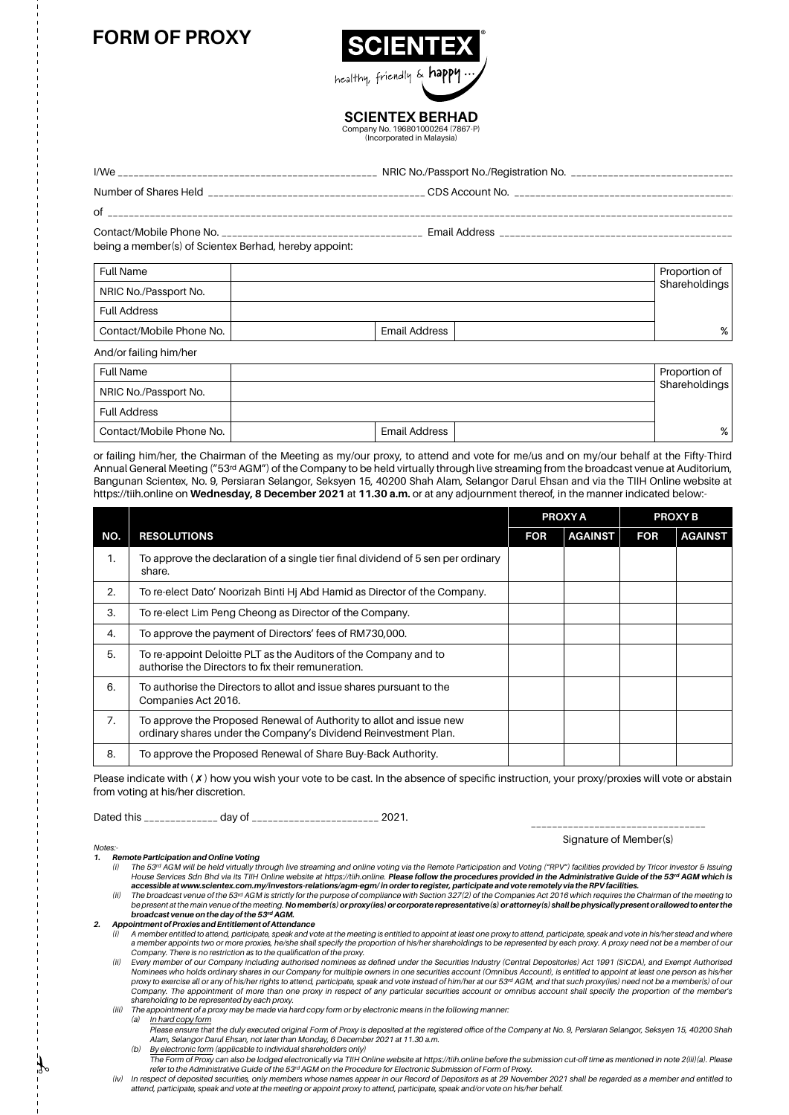## **FORM OF PROXY**



**SCIENTEX BERHAD** Company No. 196801000264 (7867-P)

(Incorporated in Malaysia)

| I/We                     | NRIC No./Passport No./Registration No. _______ |
|--------------------------|------------------------------------------------|
| Number of Shares Held    |                                                |
| οf                       |                                                |
| Contact/Mobile Phone No. | <b>Email Address</b>                           |

being a member(s) of Scientex Berhad, hereby appoint:

| <b>Full Name</b>         |               | Proportion of |
|--------------------------|---------------|---------------|
| NRIC No./Passport No.    |               | Shareholdings |
| <b>Full Address</b>      |               |               |
| Contact/Mobile Phone No. | Email Address | %             |
| And/or failing him/her   |               |               |

| <b>Full Name</b>         |               | Proportion of |
|--------------------------|---------------|---------------|
| NRIC No./Passport No.    |               | Shareholdings |
| <b>Full Address</b>      |               |               |
| Contact/Mobile Phone No. | Email Address | %             |

or failing him/her, the Chairman of the Meeting as my/our proxy, to attend and vote for me/us and on my/our behalf at the Fifty-Third Annual General Meeting ("53rd AGM") of the Company to be held virtually through live streaming from the broadcast venue at Auditorium, Bangunan Scientex, No. 9, Persiaran Selangor, Seksyen 15, 40200 Shah Alam, Selangor Darul Ehsan and via the TIIH Online website at https://tiih.online on **Wednesday, 8 December 2021** at **11.30 a.m.** or at any adjournment thereof, in the manner indicated below:-

|     |                                                                                                                                        | <b>PROXY A</b> |                | <b>PROXYB</b> |                |
|-----|----------------------------------------------------------------------------------------------------------------------------------------|----------------|----------------|---------------|----------------|
| NO. | <b>RESOLUTIONS</b>                                                                                                                     | <b>FOR</b>     | <b>AGAINST</b> | <b>FOR</b>    | <b>AGAINST</b> |
| 1.  | To approve the declaration of a single tier final dividend of 5 sen per ordinary<br>share.                                             |                |                |               |                |
| 2.  | To re-elect Dato' Noorizah Binti Hj Abd Hamid as Director of the Company.                                                              |                |                |               |                |
| 3.  | To re-elect Lim Peng Cheong as Director of the Company.                                                                                |                |                |               |                |
| 4.  | To approve the payment of Directors' fees of RM730,000.                                                                                |                |                |               |                |
| 5.  | To re-appoint Deloitte PLT as the Auditors of the Company and to<br>authorise the Directors to fix their remuneration.                 |                |                |               |                |
| 6.  | To authorise the Directors to allot and issue shares pursuant to the<br>Companies Act 2016.                                            |                |                |               |                |
| 7.  | To approve the Proposed Renewal of Authority to allot and issue new<br>ordinary shares under the Company's Dividend Reinvestment Plan. |                |                |               |                |
| 8.  | To approve the Proposed Renewal of Share Buy-Back Authority.                                                                           |                |                |               |                |

Please indicate with  $(X)$  how you wish your vote to be cast. In the absence of specific instruction, your proxy/proxies will vote or abstain from voting at his/her discretion.

Dated this \_\_\_\_\_\_\_\_\_\_\_\_\_\_\_\_\_ day of \_\_\_\_\_\_\_\_\_\_\_\_\_\_\_\_\_\_\_\_\_\_\_\_\_\_\_\_\_\_\_\_\_ 2021.

Signature of Member(s)

*Notes:-*

1. Remote Participation and Online Voting<br>i) The 53ª AGM will be held virtually through live streaming and online voting via the Remote Participation and Voting ("RPV") facilities provided by Tricor Investor & Issuing House Services Sdn Bhd via its TIIH Online website at https://tiih.online. Please follow the procedures provided in the Administrative Guide of the 53rd AGM which is *accessible at www.scientex.com.my/investors-relations/agm-egm/ in order to register, participate and vote remotely via the RPV facilities.*

 *(ii) The broadcast venue of the 53rd AGM is strictly for the purpose of compliance with Section 327(2) of the Companies Act 2016 which requires the Chairman of the meeting to*  be present at the main venue of the meeting. No member(s) or proxy(ies) or corporate representative(s) or attorney(s) shall be physically present or allowed to enter the<br>broadcast venue on the day of the 53<sup>rd</sup> AGM.

*2. Appointment of Proxies and Entitlement of Attendance*

 *(i) A member entitled to attend, participate, speak and vote at the meeting is entitled to appoint at least one proxy to attend, participate, speak and vote in his/her stead and where a member appoints two or more proxies, he/she shall specify the proportion of his/her shareholdings to be represented by each proxy. A proxy need not be a member of our* 

Company. There is no restriction as to the qualification of the proxy.<br>ii) Every member of our Company including authorised nominees as defined under the Securities Industry (Central Depositories) Act 1991 (SICDA), and Nominees who holds ordinary shares in our Company for multiple owners in one securities account (Omnibus Account), is entitled to appoint at least one person as his/her<br>proxy to exercise all or any of his/her rights to at *Company. The appointment of more than one proxy in respect of any particular securities account or omnibus account shall specify the proportion of the member's shareholding to be represented by each proxy. (iii) The appointment of a proxy may be made via hard copy form or by electronic means in the following manner:*

 *(a) In hard copy form*

 *Please ensure that the duly executed original Form of Proxy is deposited at the registered office of the Company at No. 9, Persiaran Selangor, Seksyen 15, 40200 Shah Alam, Selangor Darul Ehsan, not later than Monday, 6 December 2021 at 11.30 a.m. (b) By electronic form (applicable to individual shareholders only)*

 *The Form of Proxy can also be lodged electronically via TIIH Online website at https://tiih.online before the submission cut-off time as mentioned in note 2(iii)(a). Please refer to the Administrative Guide of the 53rd AGM on the Procedure for Electronic Submission of Form of Proxy.*

 *(iv) In respect of deposited securities, only members whose names appear in our Record of Depositors as at 29 November 2021 shall be regarded as a member and entitled to attend, participate, speak and vote at the meeting or appoint proxy to attend, participate, speak and/or vote on his/her behalf.*